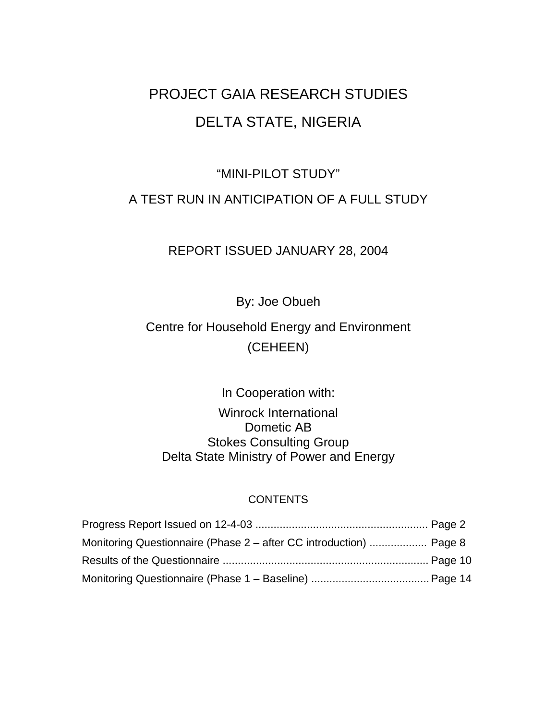# PROJECT GAIA RESEARCH STUDIES DELTA STATE, NIGERIA

# "MINI-PILOT STUDY"

# A TEST RUN IN ANTICIPATION OF A FULL STUDY

REPORT ISSUED JANUARY 28, 2004

By: Joe Obueh

# Centre for Household Energy and Environment (CEHEEN)

In Cooperation with:

Winrock International Dometic AB Stokes Consulting Group Delta State Ministry of Power and Energy

### **CONTENTS**

| Monitoring Questionnaire (Phase 2 – after CC introduction)  Page 8 |  |
|--------------------------------------------------------------------|--|
|                                                                    |  |
|                                                                    |  |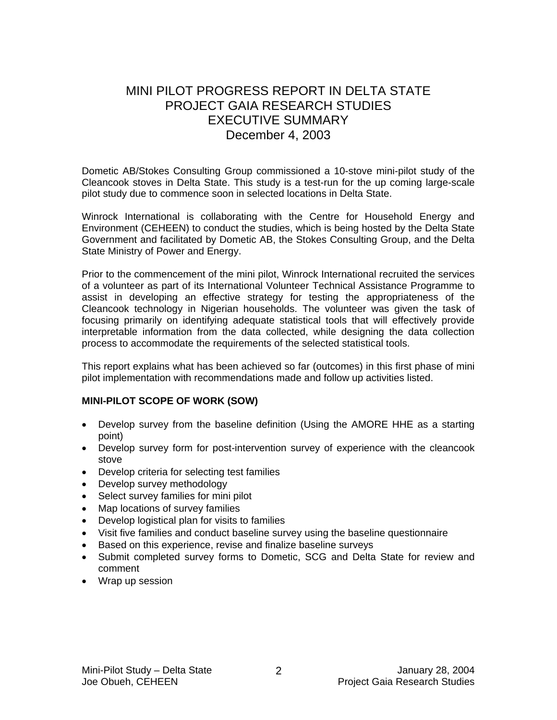# MINI PILOT PROGRESS REPORT IN DELTA STATE PROJECT GAIA RESEARCH STUDIES EXECUTIVE SUMMARY December 4, 2003

Dometic AB/Stokes Consulting Group commissioned a 10-stove mini-pilot study of the Cleancook stoves in Delta State. This study is a test-run for the up coming large-scale pilot study due to commence soon in selected locations in Delta State.

Winrock International is collaborating with the Centre for Household Energy and Environment (CEHEEN) to conduct the studies, which is being hosted by the Delta State Government and facilitated by Dometic AB, the Stokes Consulting Group, and the Delta State Ministry of Power and Energy.

Prior to the commencement of the mini pilot, Winrock International recruited the services of a volunteer as part of its International Volunteer Technical Assistance Programme to assist in developing an effective strategy for testing the appropriateness of the Cleancook technology in Nigerian households. The volunteer was given the task of focusing primarily on identifying adequate statistical tools that will effectively provide interpretable information from the data collected, while designing the data collection process to accommodate the requirements of the selected statistical tools.

This report explains what has been achieved so far (outcomes) in this first phase of mini pilot implementation with recommendations made and follow up activities listed.

#### **MINI-PILOT SCOPE OF WORK (SOW)**

- Develop survey from the baseline definition (Using the AMORE HHE as a starting point)
- Develop survey form for post-intervention survey of experience with the cleancook stove
- Develop criteria for selecting test families
- Develop survey methodology
- Select survey families for mini pilot
- Map locations of survey families
- Develop logistical plan for visits to families
- Visit five families and conduct baseline survey using the baseline questionnaire
- Based on this experience, revise and finalize baseline surveys
- Submit completed survey forms to Dometic, SCG and Delta State for review and comment
- Wrap up session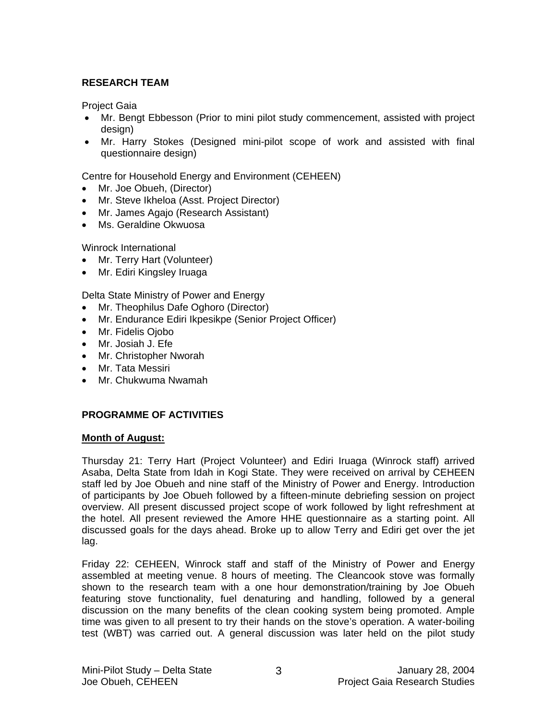#### **RESEARCH TEAM**

Project Gaia

- Mr. Bengt Ebbesson (Prior to mini pilot study commencement, assisted with project design)
- Mr. Harry Stokes (Designed mini-pilot scope of work and assisted with final questionnaire design)

Centre for Household Energy and Environment (CEHEEN)

- Mr. Joe Obueh, (Director)
- Mr. Steve Ikheloa (Asst. Project Director)
- Mr. James Agajo (Research Assistant)
- Ms. Geraldine Okwuosa

Winrock International

- Mr. Terry Hart (Volunteer)
- Mr. Ediri Kingsley Iruaga

Delta State Ministry of Power and Energy

- Mr. Theophilus Dafe Oghoro (Director)
- Mr. Endurance Ediri Ikpesikpe (Senior Project Officer)
- Mr. Fidelis Ojobo
- Mr. Josiah J. Efe
- Mr. Christopher Nworah
- Mr. Tata Messiri
- Mr. Chukwuma Nwamah

#### **PROGRAMME OF ACTIVITIES**

#### **Month of August:**

Thursday 21: Terry Hart (Project Volunteer) and Ediri Iruaga (Winrock staff) arrived Asaba, Delta State from Idah in Kogi State. They were received on arrival by CEHEEN staff led by Joe Obueh and nine staff of the Ministry of Power and Energy. Introduction of participants by Joe Obueh followed by a fifteen-minute debriefing session on project overview. All present discussed project scope of work followed by light refreshment at the hotel. All present reviewed the Amore HHE questionnaire as a starting point. All discussed goals for the days ahead. Broke up to allow Terry and Ediri get over the jet lag.

Friday 22: CEHEEN, Winrock staff and staff of the Ministry of Power and Energy assembled at meeting venue. 8 hours of meeting. The Cleancook stove was formally shown to the research team with a one hour demonstration/training by Joe Obueh featuring stove functionality, fuel denaturing and handling, followed by a general discussion on the many benefits of the clean cooking system being promoted. Ample time was given to all present to try their hands on the stove's operation. A water-boiling test (WBT) was carried out. A general discussion was later held on the pilot study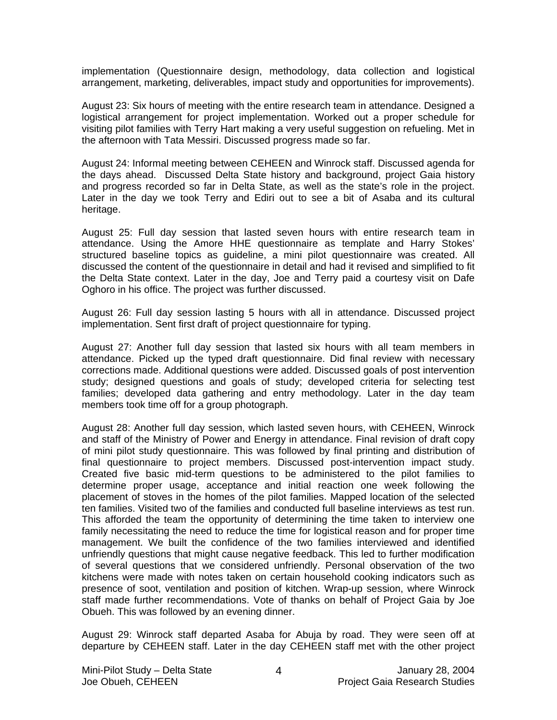implementation (Questionnaire design, methodology, data collection and logistical arrangement, marketing, deliverables, impact study and opportunities for improvements).

August 23: Six hours of meeting with the entire research team in attendance. Designed a logistical arrangement for project implementation. Worked out a proper schedule for visiting pilot families with Terry Hart making a very useful suggestion on refueling. Met in the afternoon with Tata Messiri. Discussed progress made so far.

August 24: Informal meeting between CEHEEN and Winrock staff. Discussed agenda for the days ahead. Discussed Delta State history and background, project Gaia history and progress recorded so far in Delta State, as well as the state's role in the project. Later in the day we took Terry and Ediri out to see a bit of Asaba and its cultural heritage.

August 25: Full day session that lasted seven hours with entire research team in attendance. Using the Amore HHE questionnaire as template and Harry Stokes' structured baseline topics as guideline, a mini pilot questionnaire was created. All discussed the content of the questionnaire in detail and had it revised and simplified to fit the Delta State context. Later in the day, Joe and Terry paid a courtesy visit on Dafe Oghoro in his office. The project was further discussed.

August 26: Full day session lasting 5 hours with all in attendance. Discussed project implementation. Sent first draft of project questionnaire for typing.

August 27: Another full day session that lasted six hours with all team members in attendance. Picked up the typed draft questionnaire. Did final review with necessary corrections made. Additional questions were added. Discussed goals of post intervention study; designed questions and goals of study; developed criteria for selecting test families; developed data gathering and entry methodology. Later in the day team members took time off for a group photograph.

August 28: Another full day session, which lasted seven hours, with CEHEEN, Winrock and staff of the Ministry of Power and Energy in attendance. Final revision of draft copy of mini pilot study questionnaire. This was followed by final printing and distribution of final questionnaire to project members. Discussed post-intervention impact study. Created five basic mid-term questions to be administered to the pilot families to determine proper usage, acceptance and initial reaction one week following the placement of stoves in the homes of the pilot families. Mapped location of the selected ten families. Visited two of the families and conducted full baseline interviews as test run. This afforded the team the opportunity of determining the time taken to interview one family necessitating the need to reduce the time for logistical reason and for proper time management. We built the confidence of the two families interviewed and identified unfriendly questions that might cause negative feedback. This led to further modification of several questions that we considered unfriendly. Personal observation of the two kitchens were made with notes taken on certain household cooking indicators such as presence of soot, ventilation and position of kitchen. Wrap-up session, where Winrock staff made further recommendations. Vote of thanks on behalf of Project Gaia by Joe Obueh. This was followed by an evening dinner.

August 29: Winrock staff departed Asaba for Abuja by road. They were seen off at departure by CEHEEN staff. Later in the day CEHEEN staff met with the other project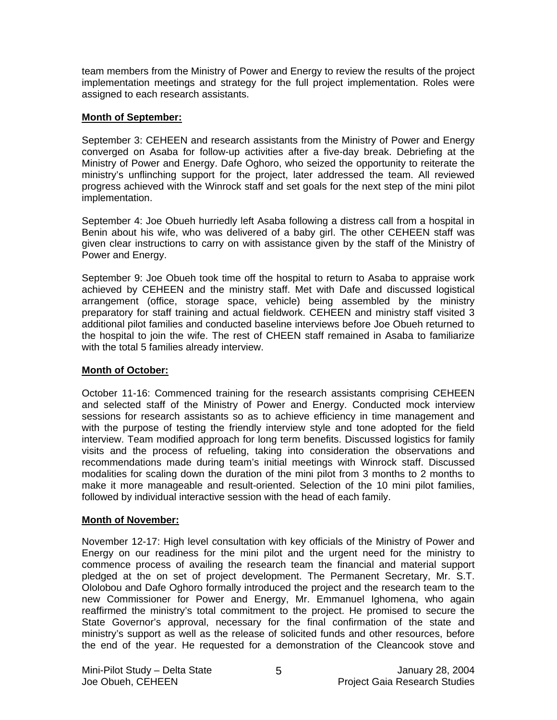team members from the Ministry of Power and Energy to review the results of the project implementation meetings and strategy for the full project implementation. Roles were assigned to each research assistants.

#### **Month of September:**

September 3: CEHEEN and research assistants from the Ministry of Power and Energy converged on Asaba for follow-up activities after a five-day break. Debriefing at the Ministry of Power and Energy. Dafe Oghoro, who seized the opportunity to reiterate the ministry's unflinching support for the project, later addressed the team. All reviewed progress achieved with the Winrock staff and set goals for the next step of the mini pilot implementation.

September 4: Joe Obueh hurriedly left Asaba following a distress call from a hospital in Benin about his wife, who was delivered of a baby girl. The other CEHEEN staff was given clear instructions to carry on with assistance given by the staff of the Ministry of Power and Energy.

September 9: Joe Obueh took time off the hospital to return to Asaba to appraise work achieved by CEHEEN and the ministry staff. Met with Dafe and discussed logistical arrangement (office, storage space, vehicle) being assembled by the ministry preparatory for staff training and actual fieldwork. CEHEEN and ministry staff visited 3 additional pilot families and conducted baseline interviews before Joe Obueh returned to the hospital to join the wife. The rest of CHEEN staff remained in Asaba to familiarize with the total 5 families already interview.

#### **Month of October:**

October 11-16: Commenced training for the research assistants comprising CEHEEN and selected staff of the Ministry of Power and Energy. Conducted mock interview sessions for research assistants so as to achieve efficiency in time management and with the purpose of testing the friendly interview style and tone adopted for the field interview. Team modified approach for long term benefits. Discussed logistics for family visits and the process of refueling, taking into consideration the observations and recommendations made during team's initial meetings with Winrock staff. Discussed modalities for scaling down the duration of the mini pilot from 3 months to 2 months to make it more manageable and result-oriented. Selection of the 10 mini pilot families, followed by individual interactive session with the head of each family.

#### **Month of November:**

November 12-17: High level consultation with key officials of the Ministry of Power and Energy on our readiness for the mini pilot and the urgent need for the ministry to commence process of availing the research team the financial and material support pledged at the on set of project development. The Permanent Secretary, Mr. S.T. Ololobou and Dafe Oghoro formally introduced the project and the research team to the new Commissioner for Power and Energy, Mr. Emmanuel Ighomena, who again reaffirmed the ministry's total commitment to the project. He promised to secure the State Governor's approval, necessary for the final confirmation of the state and ministry's support as well as the release of solicited funds and other resources, before the end of the year. He requested for a demonstration of the Cleancook stove and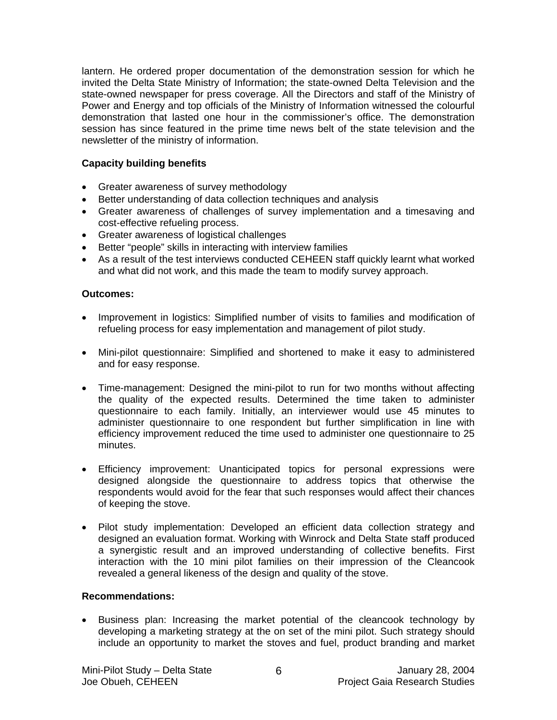lantern. He ordered proper documentation of the demonstration session for which he invited the Delta State Ministry of Information; the state-owned Delta Television and the state-owned newspaper for press coverage. All the Directors and staff of the Ministry of Power and Energy and top officials of the Ministry of Information witnessed the colourful demonstration that lasted one hour in the commissioner's office. The demonstration session has since featured in the prime time news belt of the state television and the newsletter of the ministry of information.

#### **Capacity building benefits**

- Greater awareness of survey methodology
- Better understanding of data collection techniques and analysis
- Greater awareness of challenges of survey implementation and a timesaving and cost-effective refueling process.
- Greater awareness of logistical challenges
- Better "people" skills in interacting with interview families
- As a result of the test interviews conducted CEHEEN staff quickly learnt what worked and what did not work, and this made the team to modify survey approach.

#### **Outcomes:**

- Improvement in logistics: Simplified number of visits to families and modification of refueling process for easy implementation and management of pilot study.
- Mini-pilot questionnaire: Simplified and shortened to make it easy to administered and for easy response.
- Time-management: Designed the mini-pilot to run for two months without affecting the quality of the expected results. Determined the time taken to administer questionnaire to each family. Initially, an interviewer would use 45 minutes to administer questionnaire to one respondent but further simplification in line with efficiency improvement reduced the time used to administer one questionnaire to 25 minutes.
- Efficiency improvement: Unanticipated topics for personal expressions were designed alongside the questionnaire to address topics that otherwise the respondents would avoid for the fear that such responses would affect their chances of keeping the stove.
- Pilot study implementation: Developed an efficient data collection strategy and designed an evaluation format. Working with Winrock and Delta State staff produced a synergistic result and an improved understanding of collective benefits. First interaction with the 10 mini pilot families on their impression of the Cleancook revealed a general likeness of the design and quality of the stove.

#### **Recommendations:**

• Business plan: Increasing the market potential of the cleancook technology by developing a marketing strategy at the on set of the mini pilot. Such strategy should include an opportunity to market the stoves and fuel, product branding and market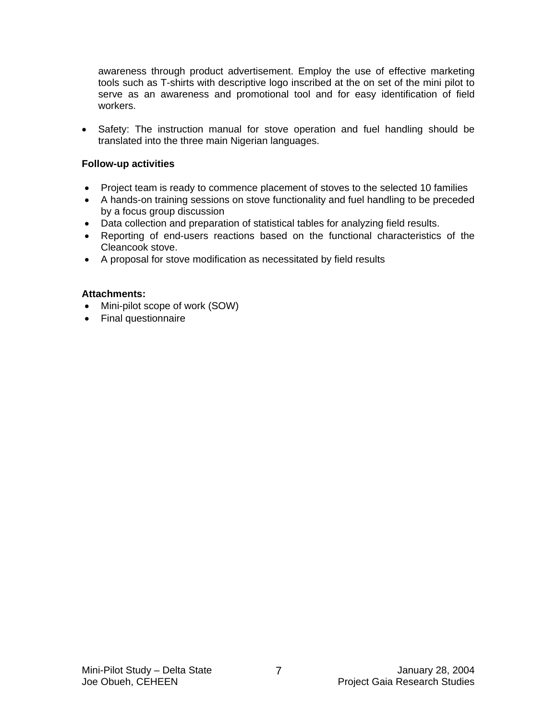awareness through product advertisement. Employ the use of effective marketing tools such as T-shirts with descriptive logo inscribed at the on set of the mini pilot to serve as an awareness and promotional tool and for easy identification of field workers.

• Safety: The instruction manual for stove operation and fuel handling should be translated into the three main Nigerian languages.

#### **Follow-up activities**

- Project team is ready to commence placement of stoves to the selected 10 families
- A hands-on training sessions on stove functionality and fuel handling to be preceded by a focus group discussion
- Data collection and preparation of statistical tables for analyzing field results.
- Reporting of end-users reactions based on the functional characteristics of the Cleancook stove.
- A proposal for stove modification as necessitated by field results

#### **Attachments:**

- Mini-pilot scope of work (SOW)
- Final questionnaire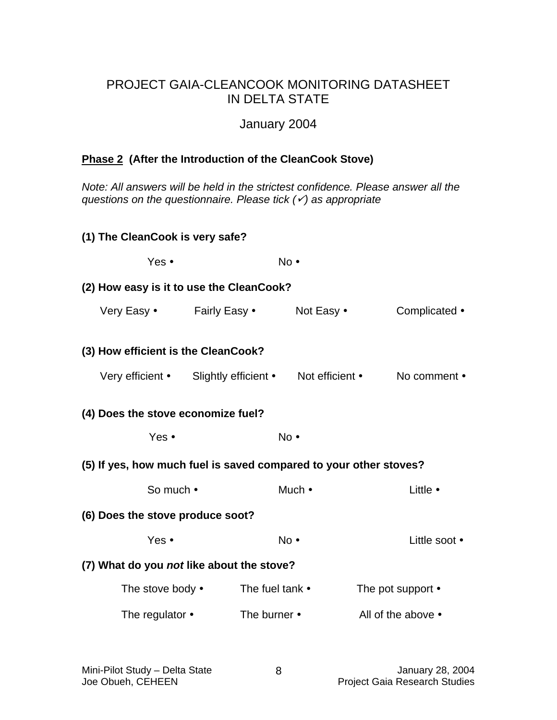# PROJECT GAIA-CLEANCOOK MONITORING DATASHEET IN DELTA STATE

### January 2004

### **Phase 2 (After the Introduction of the CleanCook Stove)**

*Note: All answers will be held in the strictest confidence. Please answer all the questions on the questionnaire. Please tick (*9*) as appropriate* 

| (1) The CleanCook is very safe?                                   |                                                       |            |                    |
|-------------------------------------------------------------------|-------------------------------------------------------|------------|--------------------|
| Yes •                                                             |                                                       | $No$ .     |                    |
| (2) How easy is it to use the CleanCook?                          |                                                       |            |                    |
|                                                                   | Very Easy • Fairly Easy •                             | Not Easy • | Complicated •      |
| (3) How efficient is the CleanCook?                               |                                                       |            |                    |
|                                                                   | Very efficient • Slightly efficient • Not efficient • |            | No comment •       |
| (4) Does the stove economize fuel?                                |                                                       |            |                    |
| Yes •                                                             |                                                       | $No$ .     |                    |
| (5) If yes, how much fuel is saved compared to your other stoves? |                                                       |            |                    |
| So much •                                                         |                                                       | Much •     | Little •           |
| (6) Does the stove produce soot?                                  |                                                       |            |                    |
| Yes •                                                             |                                                       | $No$ .     | Little soot •      |
| (7) What do you not like about the stove?                         |                                                       |            |                    |
| The stove body •                                                  | The fuel tank •                                       |            | The pot support •  |
| The regulator $\bullet$                                           | The burner •                                          |            | All of the above • |

8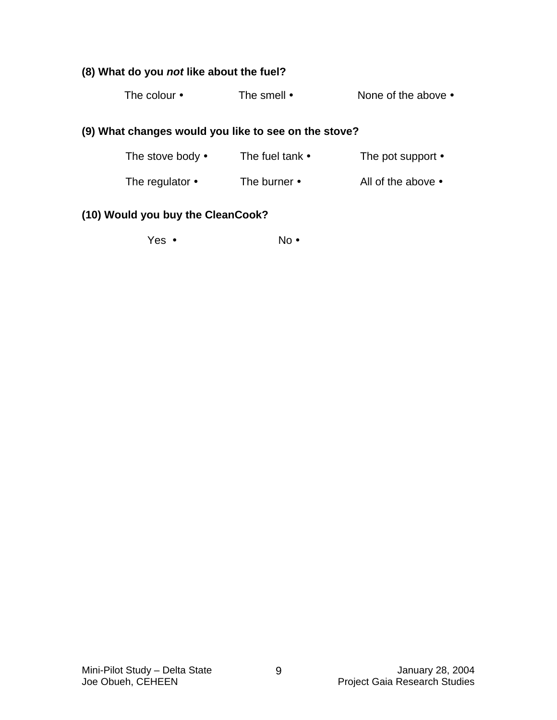### **(8) What do you** *not* **like about the fuel?**

| The colour $\bullet$ | The smell • | None of the above • |
|----------------------|-------------|---------------------|
|                      |             |                     |

#### **(9) What changes would you like to see on the stove?**

| The stove body $\bullet$ | The fuel tank • | The pot support $\bullet$ |
|--------------------------|-----------------|---------------------------|
| The regulator $\bullet$  | The burner •    | All of the above •        |

#### **(10) Would you buy the CleanCook?**

Yes • No • No •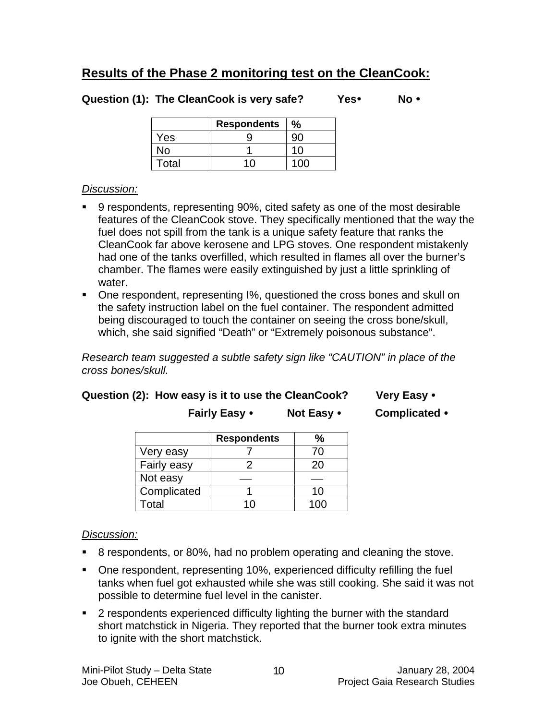# **Results of the Phase 2 monitoring test on the CleanCook:**

**Question (1): The CleanCook is very safe?** Yes• No •

|            | <b>Respondents</b> | $\%$ |
|------------|--------------------|------|
| <b>Yes</b> |                    |      |
| No         |                    | 10   |
| Total      | 10                 | 1ሰበ  |

#### *Discussion:*

- 9 respondents, representing 90%, cited safety as one of the most desirable features of the CleanCook stove. They specifically mentioned that the way the fuel does not spill from the tank is a unique safety feature that ranks the CleanCook far above kerosene and LPG stoves. One respondent mistakenly had one of the tanks overfilled, which resulted in flames all over the burner's chamber. The flames were easily extinguished by just a little sprinkling of water.
- One respondent, representing I%, questioned the cross bones and skull on the safety instruction label on the fuel container. The respondent admitted being discouraged to touch the container on seeing the cross bone/skull, which, she said signified "Death" or "Extremely poisonous substance".

*Research team suggested a subtle safety sign like "CAUTION" in place of the cross bones/skull.* 

|             | <b>Fairly Easy •</b> | Not Easy • |
|-------------|----------------------|------------|
|             | <b>Respondents</b>   | %          |
| Very easy   |                      | 70         |
| Fairly easy |                      | 20         |
| Not easy    |                      |            |
| Complicated |                      | 10         |
| Total       |                      |            |

# **Question (2): How easy is it to use the CleanCook? Very Easy** y

#### *Discussion:*

- 8 respondents, or 80%, had no problem operating and cleaning the stove.
- One respondent, representing 10%, experienced difficulty refilling the fuel tanks when fuel got exhausted while she was still cooking. She said it was not possible to determine fuel level in the canister.
- 2 respondents experienced difficulty lighting the burner with the standard short matchstick in Nigeria. They reported that the burner took extra minutes to ignite with the short matchstick.

10

**Complicated •**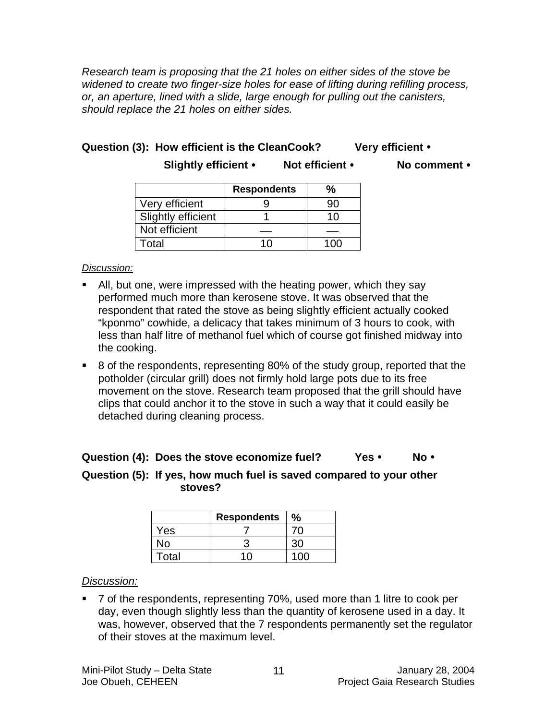*Research team is proposing that the 21 holes on either sides of the stove be widened to create two finger-size holes for ease of lifting during refilling process, or, an aperture, lined with a slide, large enough for pulling out the canisters, should replace the 21 holes on either sides.* 

| Question (3): How efficient is the CleanCook? | Very efficient • |
|-----------------------------------------------|------------------|
|-----------------------------------------------|------------------|

 **Slightly efficient** y **Not efficient** y **No comment** y

|                    | <b>Respondents</b> |    |
|--------------------|--------------------|----|
| Very efficient     |                    |    |
| Slightly efficient |                    | 10 |
| Not efficient      |                    |    |
| Total              | 10                 |    |

### *Discussion:*

- All, but one, were impressed with the heating power, which they say performed much more than kerosene stove. It was observed that the respondent that rated the stove as being slightly efficient actually cooked "kponmo" cowhide, a delicacy that takes minimum of 3 hours to cook, with less than half litre of methanol fuel which of course got finished midway into the cooking.
- 8 of the respondents, representing 80% of the study group, reported that the potholder (circular grill) does not firmly hold large pots due to its free movement on the stove. Research team proposed that the grill should have clips that could anchor it to the stove in such a way that it could easily be detached during cleaning process.

**Question (4): Does the stove economize fuel?** Yes • No •

#### **Question (5): If yes, how much fuel is saved compared to your other stoves?**

|       | <b>Respondents</b> | $\%$ |
|-------|--------------------|------|
| Yes   |                    |      |
| N٥    |                    | 30   |
| Total |                    | 1ሰበ  |

### *Discussion:*

T 7 of the respondents, representing 70%, used more than 1 litre to cook per day, even though slightly less than the quantity of kerosene used in a day. It was, however, observed that the 7 respondents permanently set the regulator of their stoves at the maximum level.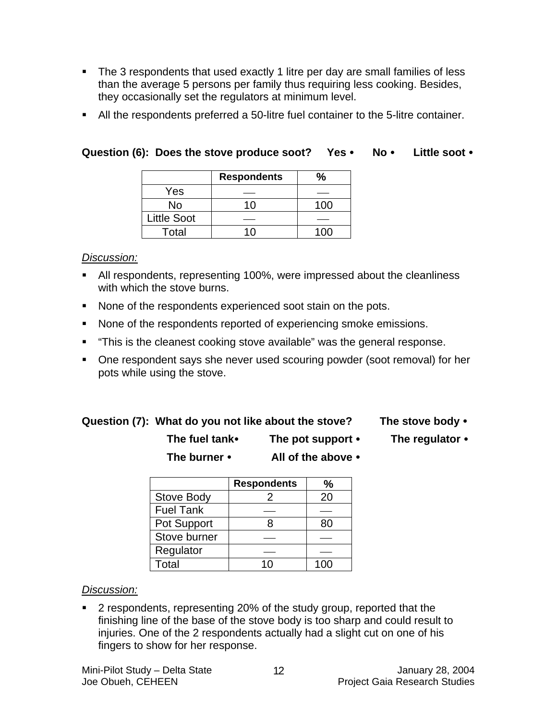- The 3 respondents that used exactly 1 litre per day are small families of less than the average 5 persons per family thus requiring less cooking. Besides, they occasionally set the regulators at minimum level.
- All the respondents preferred a 50-litre fuel container to the 5-litre container.

### **Question (6): Does the stove produce soot? Yes** y **No** y **Little soot** y

|                    | <b>Respondents</b> |     |
|--------------------|--------------------|-----|
| Yes                |                    |     |
| No                 | 10                 | 100 |
| <b>Little Soot</b> |                    |     |
| Total              | 1 በ                | 100 |

### *Discussion:*

- All respondents, representing 100%, were impressed about the cleanliness with which the stove burns.
- None of the respondents experienced soot stain on the pots.
- None of the respondents reported of experiencing smoke emissions.
- "This is the cleanest cooking stove available" was the general response.
- One respondent says she never used scouring powder (soot removal) for her pots while using the stove.

#### **Question (7): What do you not like about the stove? The stove body** y

 **The fuel tank**y **The pot support** y **The regulator** y

 **The burner** y **All of the above** y

|                   | <b>Respondents</b> | %   |
|-------------------|--------------------|-----|
| <b>Stove Body</b> |                    | 20  |
| <b>Fuel Tank</b>  |                    |     |
| Pot Support       |                    | 80  |
| Stove burner      |                    |     |
| Regulator         |                    |     |
| Total             | 10                 | 100 |

### *Discussion:*

■ 2 respondents, representing 20% of the study group, reported that the finishing line of the base of the stove body is too sharp and could result to injuries. One of the 2 respondents actually had a slight cut on one of his fingers to show for her response.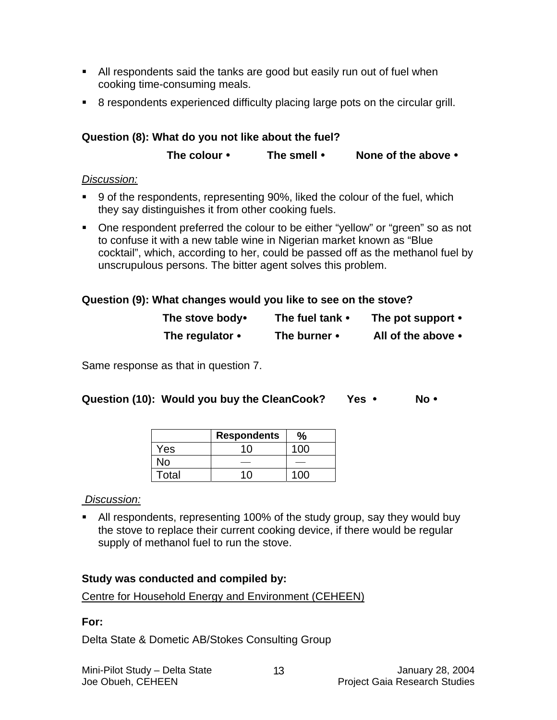- All respondents said the tanks are good but easily run out of fuel when cooking time-consuming meals.
- 8 respondents experienced difficulty placing large pots on the circular grill.

### **Question (8): What do you not like about the fuel?**

 **The colour** y **The smell** y **None of the above** y

### *Discussion:*

- 9 of the respondents, representing 90%, liked the colour of the fuel, which they say distinguishes it from other cooking fuels.
- One respondent preferred the colour to be either "yellow" or "green" so as not to confuse it with a new table wine in Nigerian market known as "Blue cocktail", which, according to her, could be passed off as the methanol fuel by unscrupulous persons. The bitter agent solves this problem.

### **Question (9): What changes would you like to see on the stove?**

| The stove body•         | The fuel tank • | The pot support $\bullet$ |
|-------------------------|-----------------|---------------------------|
| The regulator $\bullet$ | The burner •    | All of the above •        |

Same response as that in question 7.

### **Question (10): Would you buy the CleanCook?** Yes • No •

|       | <b>Respondents</b> | $\%$ |
|-------|--------------------|------|
| Yes   | 1 በ                | 100  |
| No    |                    |      |
| Total |                    | 1ሰሰ  |

### *Discussion:*

 All respondents, representing 100% of the study group, say they would buy the stove to replace their current cooking device, if there would be regular supply of methanol fuel to run the stove.

### **Study was conducted and compiled by:**

Centre for Household Energy and Environment (CEHEEN)

### **For:**

Delta State & Dometic AB/Stokes Consulting Group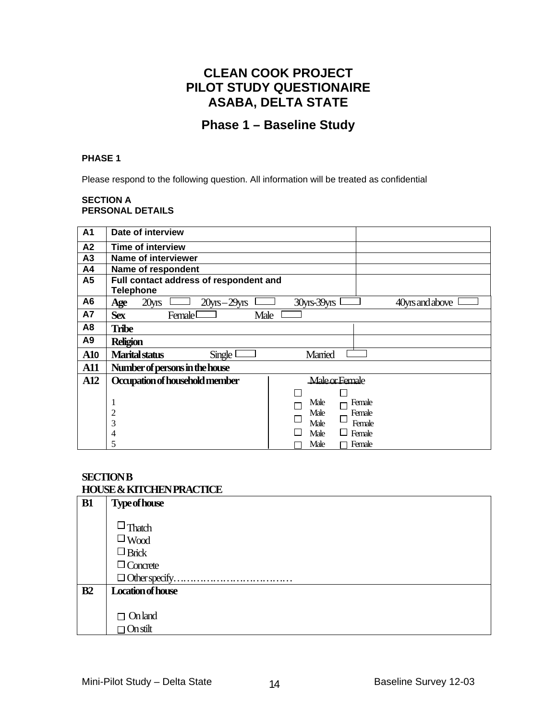# **CLEAN COOK PROJECT PILOT STUDY QUESTIONAIRE ASABA, DELTA STATE**

# **Phase 1 – Baseline Study**

#### **PHASE 1**

Please respond to the following question. All information will be treated as confidential

#### **SECTION A PERSONAL DETAILS**

| A1             | Date of interview                                                    |                                    |
|----------------|----------------------------------------------------------------------|------------------------------------|
| A2             | <b>Time of interview</b>                                             |                                    |
| A3             | <b>Name of interviewer</b>                                           |                                    |
| A4             | Name of respondent                                                   |                                    |
| A5             | Full contact address of respondent and                               |                                    |
|                | <b>Telephone</b>                                                     |                                    |
| A <sub>6</sub> | $20$ <sub>yrs</sub> $-29$ <sub>yrs</sub><br>20 <sub>YIS</sub><br>Age | $30VIS - 39VIS$<br>40yrs and above |
| <b>A7</b>      | <b>Sex</b><br>Female<br>Male                                         |                                    |
| A8             | <b>Tribe</b>                                                         |                                    |
| A <sub>9</sub> | <b>Religion</b>                                                      |                                    |
| A10            | Single<br><b>Marital status</b>                                      | Married                            |
| <b>A11</b>     | Number of persons in the house                                       |                                    |
| A12            | Occupation of household member                                       | Male or Female                     |
|                |                                                                      |                                    |
|                |                                                                      | Male<br>Female                     |
|                | 2                                                                    | Male<br>Female                     |
|                | 3                                                                    | Male<br>Female                     |
|                | 4                                                                    | $\Box$ Female<br>Male              |
|                | 5                                                                    | $\Box$ Female<br>Male              |

#### **SECTION B HOUSE & KITCHEN PRACTICE**

| B1 | <b>Type of house</b>  |
|----|-----------------------|
|    |                       |
|    | $\Box$ Thatch         |
|    | $\square$ Wood        |
|    | $\Box$ Brick          |
|    | $\Box$ Concrete       |
|    | $\Box$ Other specify. |
| B2 | Location of house     |
|    |                       |
|    | $\Box$ On land        |
|    | $\Box$ On stilt       |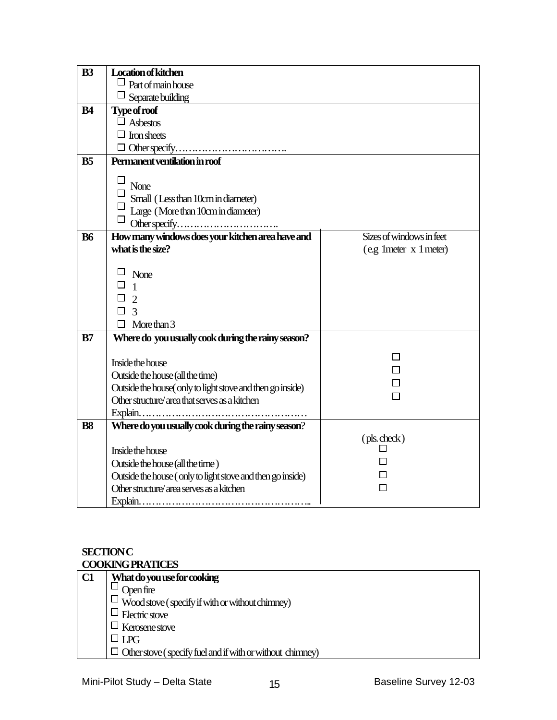| B3             | Location of kitchen                                        |                          |
|----------------|------------------------------------------------------------|--------------------------|
|                | $\Box$ Part of main house                                  |                          |
|                | $\perp$ Separate building                                  |                          |
| <b>B4</b>      | <b>Type of roof</b>                                        |                          |
|                | $\Box$ Asbestos                                            |                          |
|                | $\Box$ Iron sheets                                         |                          |
|                |                                                            |                          |
| B <sub>5</sub> | Permanent ventilation in roof                              |                          |
|                |                                                            |                          |
|                | None                                                       |                          |
|                | Small (Less than 10cm in diameter)                         |                          |
|                | $\Box$ Large (More than 10cm in diameter)                  |                          |
|                |                                                            |                          |
| <b>B6</b>      | How many windows does your kitchen area have and           | Sizes of windows in feet |
|                | what is the size?                                          | (e.g 1 meter x 1 meter)  |
|                |                                                            |                          |
|                | None                                                       |                          |
|                | $\overline{1}$                                             |                          |
|                | $\Box$ 2                                                   |                          |
|                | $\Box$ 3                                                   |                          |
|                | $\Box$ More than 3                                         |                          |
| B7             | Where do you usually cook during the rainy season?         |                          |
|                |                                                            | П                        |
|                | Inside the house                                           |                          |
|                | Outside the house (all the time)                           |                          |
|                | Outside the house(only to light stove and then go inside)  | П                        |
|                | Other structure/area that serves as a kitchen              |                          |
|                |                                                            |                          |
| <b>B8</b>      | Where do you usually cook during the rainy season?         |                          |
|                |                                                            | (pls.check)              |
|                | Inside the house                                           |                          |
|                | Outside the house (all the time)                           |                          |
|                | Outside the house (only to light stove and then go inside) |                          |
|                | Other structure/area serves as a kitchen                   | П                        |
|                |                                                            |                          |

#### **SECTION C COOKING PRATICES**

| C1 | What do you use for cooking                                      |
|----|------------------------------------------------------------------|
|    | Open fire                                                        |
|    | $\Box$ Wood stove (specify if with or without chimney)           |
|    | Electric stove                                                   |
|    | $\Box$ Kerosene stove                                            |
|    | $\Box$ LPG                                                       |
|    | $\Box$ Other stove (specify fuel and if with or without chimney) |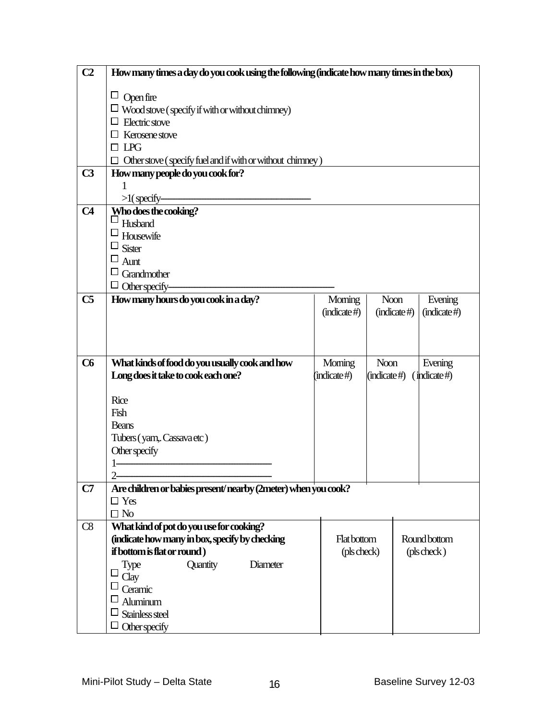| $\Box$ Wood stove (specify if with or without chimney)<br>$\Box$ Electric stove |  |  |  |  |  |  |  |
|---------------------------------------------------------------------------------|--|--|--|--|--|--|--|
|                                                                                 |  |  |  |  |  |  |  |
|                                                                                 |  |  |  |  |  |  |  |
|                                                                                 |  |  |  |  |  |  |  |
|                                                                                 |  |  |  |  |  |  |  |
|                                                                                 |  |  |  |  |  |  |  |
|                                                                                 |  |  |  |  |  |  |  |
|                                                                                 |  |  |  |  |  |  |  |
|                                                                                 |  |  |  |  |  |  |  |
|                                                                                 |  |  |  |  |  |  |  |
|                                                                                 |  |  |  |  |  |  |  |
|                                                                                 |  |  |  |  |  |  |  |
|                                                                                 |  |  |  |  |  |  |  |
|                                                                                 |  |  |  |  |  |  |  |
|                                                                                 |  |  |  |  |  |  |  |
| Evening                                                                         |  |  |  |  |  |  |  |
| $(indicte\#)$                                                                   |  |  |  |  |  |  |  |
|                                                                                 |  |  |  |  |  |  |  |
|                                                                                 |  |  |  |  |  |  |  |
|                                                                                 |  |  |  |  |  |  |  |
| Evening                                                                         |  |  |  |  |  |  |  |
| $($ indicate# $)$                                                               |  |  |  |  |  |  |  |
|                                                                                 |  |  |  |  |  |  |  |
|                                                                                 |  |  |  |  |  |  |  |
|                                                                                 |  |  |  |  |  |  |  |
|                                                                                 |  |  |  |  |  |  |  |
|                                                                                 |  |  |  |  |  |  |  |
|                                                                                 |  |  |  |  |  |  |  |
|                                                                                 |  |  |  |  |  |  |  |
|                                                                                 |  |  |  |  |  |  |  |
|                                                                                 |  |  |  |  |  |  |  |
|                                                                                 |  |  |  |  |  |  |  |
|                                                                                 |  |  |  |  |  |  |  |
|                                                                                 |  |  |  |  |  |  |  |
| Round bottom                                                                    |  |  |  |  |  |  |  |
| (plscheck)                                                                      |  |  |  |  |  |  |  |
|                                                                                 |  |  |  |  |  |  |  |
|                                                                                 |  |  |  |  |  |  |  |
|                                                                                 |  |  |  |  |  |  |  |
|                                                                                 |  |  |  |  |  |  |  |
|                                                                                 |  |  |  |  |  |  |  |
|                                                                                 |  |  |  |  |  |  |  |
|                                                                                 |  |  |  |  |  |  |  |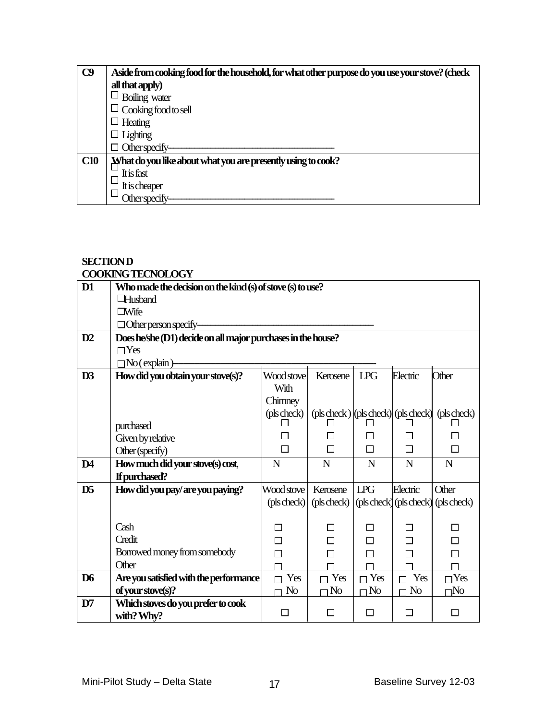| $\mathbf{C}9$ | Aside from cooking food for the household, for what other purpose do you use your stove? (check |
|---------------|-------------------------------------------------------------------------------------------------|
|               | all that apply)                                                                                 |
|               | $\Box$ Boiling water                                                                            |
|               | $\Box$ Cooking food to sell                                                                     |
|               | $\Box$ Heating                                                                                  |
|               | $\Box$ Lighting                                                                                 |
|               | $\Box$ Other specify-                                                                           |
| <b>C10</b>    | What do you like about what you are presently using to cook?                                    |
|               | It is fast                                                                                      |
|               | It is cheaper                                                                                   |
|               | Other specify                                                                                   |

#### **SECTION D COOKING TECNOLOGY**

| D <sub>1</sub> | Who made the decision on the kind (s) of stove (s) to use?   |                     |                                     |              |                |                                     |  |
|----------------|--------------------------------------------------------------|---------------------|-------------------------------------|--------------|----------------|-------------------------------------|--|
|                | $\Box$ Husband                                               |                     |                                     |              |                |                                     |  |
|                | $\Box$ Wife                                                  |                     |                                     |              |                |                                     |  |
|                | $\Box$ Other person specify-                                 |                     |                                     |              |                |                                     |  |
| D2             | Does he/she (D1) decide on all major purchases in the house? |                     |                                     |              |                |                                     |  |
|                | $\Box$ Yes                                                   |                     |                                     |              |                |                                     |  |
|                | $\Box$ No(explain)                                           |                     |                                     |              |                |                                     |  |
| D3             | How did you obtain your stove(s)?                            | Wood stove          | Kerosene                            | <b>LPG</b>   | Electric       | Other                               |  |
|                |                                                              | With                |                                     |              |                |                                     |  |
|                |                                                              | Chimney             |                                     |              |                |                                     |  |
|                |                                                              | (pls check)         | (pls check) (pls check) (pls check) |              |                | (pls check)                         |  |
|                | purchased                                                    |                     |                                     |              |                |                                     |  |
|                | Given by relative                                            |                     |                                     |              |                |                                     |  |
|                | Other (specify)                                              | П                   | $\Box$                              | П            | $\Box$         | $\Box$                              |  |
| D <sub>4</sub> | How much did your stove(s) cost,                             | N                   | $\mathbf N$                         | N            | N              | $\mathbf N$                         |  |
|                | If purchased?                                                |                     |                                     |              |                |                                     |  |
| D <sub>5</sub> | How did you pay/ are you paying?                             | <b>Wood stove</b>   | Kerosene                            | <b>LPG</b>   | Electric       | Other                               |  |
|                |                                                              | $(pls$ check)       | (pls check)                         |              |                | (pls check) (pls check) (pls check) |  |
|                |                                                              |                     |                                     |              |                |                                     |  |
|                | Cash                                                         | П                   |                                     | $\Box$       |                |                                     |  |
|                | Credit                                                       |                     |                                     |              |                |                                     |  |
|                | Borrowed money from somebody                                 | П                   | П                                   |              | П              |                                     |  |
|                | Other                                                        |                     |                                     |              |                |                                     |  |
| D <sub>6</sub> | Are you satisfied with the performance                       | Yes                 | $\Box$ Yes                          | $\sqcap$ Yes | Yes<br>П       | $\neg$ Yes                          |  |
|                | of your stove(s)?                                            | N <sub>o</sub><br>г | N <sub>o</sub>                      | 1No          | N <sub>0</sub> | $\neg$ No                           |  |
| D7             | Which stoves do you prefer to cook                           |                     |                                     |              |                |                                     |  |
|                | with? Why?                                                   | П                   | П                                   | П            | П              | $\Box$                              |  |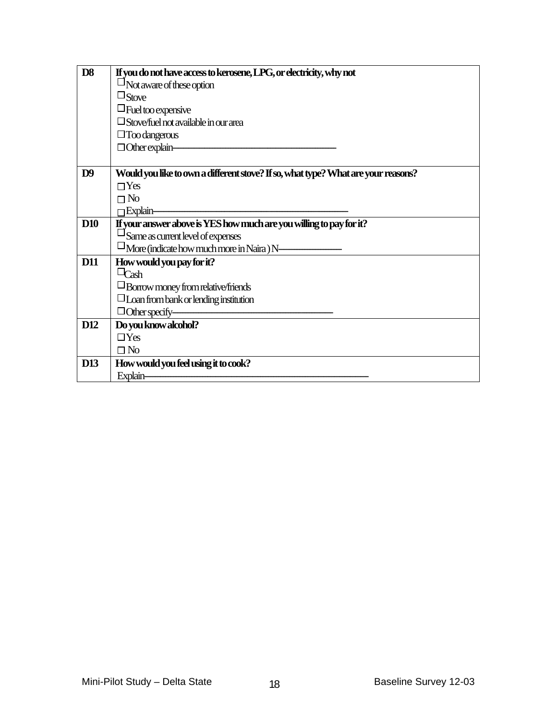| D <sub>8</sub> | If you do not have access to kerosene, LPG, or electricity, why not               |
|----------------|-----------------------------------------------------------------------------------|
|                | $\Box$ Not aware of these option                                                  |
|                | $\square$ Stove                                                                   |
|                | $\Box$ Fuel too expensive                                                         |
|                | $\square$ Stove/fuel not available in our area                                    |
|                | $\Box$ Too dangerous                                                              |
|                | $\Box$ Other explain-                                                             |
|                |                                                                                   |
| D9             | Would you like to own a different stove? If so, what type? What are your reasons? |
|                | $\Box$ Yes                                                                        |
|                | $\Box$ No                                                                         |
|                | $\Box$ Explain-                                                                   |
| <b>D10</b>     | If your answer above is YES how much are you willing to pay for it?               |
|                | Same as current level of expenses                                                 |
|                | $\Box$ More (indicate how much more in Naira) N—                                  |
| <b>D11</b>     | How would you pay for it?                                                         |
|                | $\Box$ Cash                                                                       |
|                | $\Box$ Borrow money from relative/friends                                         |
|                | $\Box$ Loan from bank or lending institution                                      |
|                | $\Box$ Other specify-                                                             |
| <b>D12</b>     | Do you know alcohol?                                                              |
|                | $\Box$ Yes                                                                        |
|                | $\square$ No                                                                      |
| <b>D13</b>     | How would you feel using it to cook?                                              |
|                | Explain-                                                                          |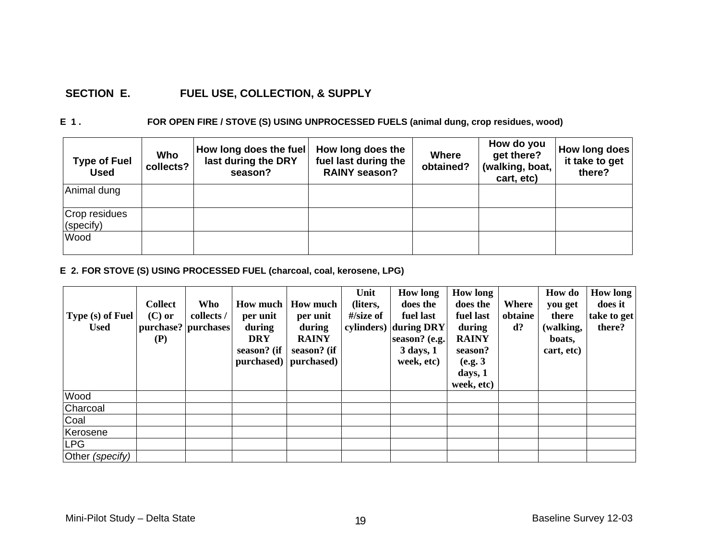### **SECTION E. FUEL USE, COLLECTION, & SUPPLY**

**E 1 . FOR OPEN FIRE / STOVE (S) USING UNPROCESSED FUELS (animal dung, crop residues, wood)** 

| <b>Type of Fuel</b><br><b>Used</b> | Who<br>collects? | How long does the fuel<br>last during the DRY<br>season? | How long does the<br>fuel last during the<br><b>RAINY season?</b> | <b>Where</b><br>obtained? | How do you<br>get there?<br>(walking, boat,<br>cart, etc) | <b>How long does</b><br>it take to get<br>there? |
|------------------------------------|------------------|----------------------------------------------------------|-------------------------------------------------------------------|---------------------------|-----------------------------------------------------------|--------------------------------------------------|
| Animal dung                        |                  |                                                          |                                                                   |                           |                                                           |                                                  |
| Crop residues<br>(specify)         |                  |                                                          |                                                                   |                           |                                                           |                                                  |
| Wood                               |                  |                                                          |                                                                   |                           |                                                           |                                                  |

#### **E 2. FOR STOVE (S) USING PROCESSED FUEL (charcoal, coal, kerosene, LPG)**

|                        |                |                     |                 |                         | Unit      | <b>How long</b>       | <b>How long</b> |         | <b>How</b> do | <b>How long</b> |
|------------------------|----------------|---------------------|-----------------|-------------------------|-----------|-----------------------|-----------------|---------|---------------|-----------------|
|                        | <b>Collect</b> | Who                 | <b>How much</b> | <b>How much</b>         | (liters,  | does the              | does the        | Where   | you get       | does it         |
| Type $(s)$ of Fuel $ $ | $(C)$ or       | collects /          | per unit        | per unit                | #/size of | fuel last             | fuel last       | obtaine | there         | take to get     |
| <b>Used</b>            |                | purchase? purchases | during          | during                  |           | cylinders) during DRY | during          | $d$ ?   | (walking,     | there?          |
|                        | $(\mathbf{P})$ |                     | <b>DRY</b>      | <b>RAINY</b>            |           | season? (e.g.         | <b>RAINY</b>    |         | boats,        |                 |
|                        |                |                     | season? (if     | season? (if             |           | 3 days, 1             | season?         |         | cart, etc)    |                 |
|                        |                |                     |                 | purchased)   purchased) |           | week, etc)            | (e.g. 3)        |         |               |                 |
|                        |                |                     |                 |                         |           |                       | days, 1         |         |               |                 |
|                        |                |                     |                 |                         |           |                       | week, etc)      |         |               |                 |
| Wood                   |                |                     |                 |                         |           |                       |                 |         |               |                 |
| Charcoal               |                |                     |                 |                         |           |                       |                 |         |               |                 |
| Coal                   |                |                     |                 |                         |           |                       |                 |         |               |                 |
| Kerosene               |                |                     |                 |                         |           |                       |                 |         |               |                 |
| <b>LPG</b>             |                |                     |                 |                         |           |                       |                 |         |               |                 |
| Other (specify)        |                |                     |                 |                         |           |                       |                 |         |               |                 |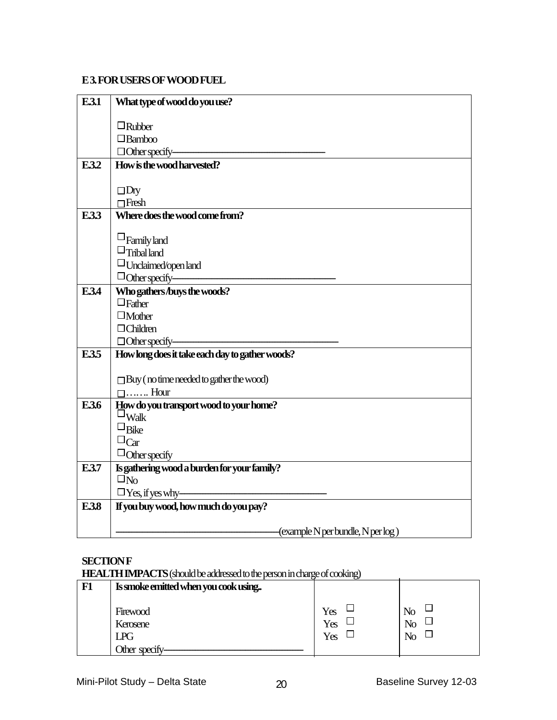#### **E 3. FOR USERS OF WOOD FUEL**

| E3.1             | What type of wood do you use?                                        |
|------------------|----------------------------------------------------------------------|
|                  | $\Box$ Rubber                                                        |
|                  | $\Box$ Bamboo                                                        |
|                  | □ Other specify-                                                     |
| E32              | How is the wood harvested?                                           |
|                  |                                                                      |
|                  | $\square$ Dry                                                        |
|                  | $\Box$ Fresh                                                         |
| E33              | Where does the wood come from?                                       |
|                  | $\sqcup$ Family land                                                 |
|                  | $\Box$ Tribal land                                                   |
|                  | $\Box$ Unclaimed/open land                                           |
|                  | $\Box$ Other specify—                                                |
| E <sub>34</sub>  | Who gathers/buys the woods?                                          |
|                  | $\Box$ Father                                                        |
|                  | $\square$ Mother                                                     |
|                  | $\Box$ Children                                                      |
|                  | $\Box$ Other specify-                                                |
| E <sub>35</sub>  | How long does it take each day to gather woods?                      |
|                  | $\Box$ Buy (no time needed to gather the wood)                       |
|                  | $\Box$ Hour                                                          |
| E3.6             | How do you transport wood to your home?                              |
|                  | $\square_{\text{Walk}}$                                              |
|                  | $\square_{\text{Bike}}$                                              |
|                  | $\Box_{\text{Car}}$                                                  |
|                  | $\Box$ Other specify                                                 |
| E <sub>3.7</sub> | Is gathering wood a burden for your family?<br>$\square_{\text{No}}$ |
|                  | $\Box$ Yes, if yes why-                                              |
| E <sub>38</sub>  | If you buy wood, how much do you pay?                                |
|                  | $-(example N per bundle, N per log)$                                 |

#### **SECTION F**

# **HEALTH IMPACTS** (should be addressed to the person in charge of cooking)

| ${\bf F1}$ | Is smoke emitted when you cook using                  |                   |                |
|------------|-------------------------------------------------------|-------------------|----------------|
|            | Firewood<br>Kerosene<br>${\rm LPG}$<br>Other specify- | Yes<br>Yes<br>Yes | No<br>No<br>No |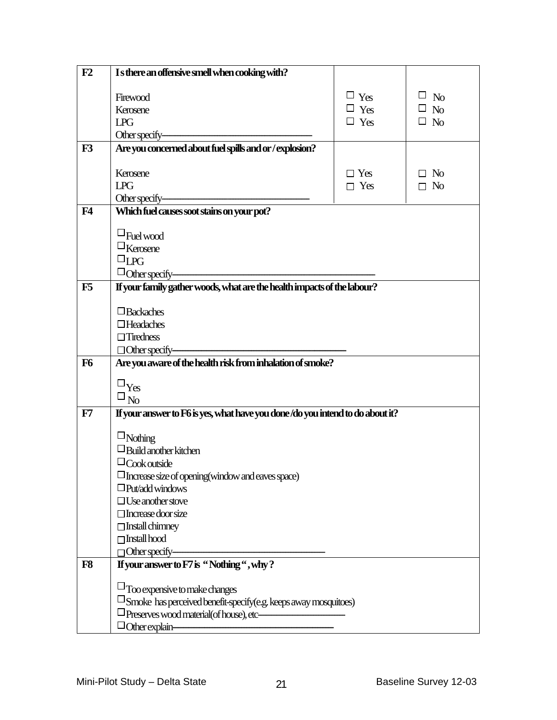| F2             | Is there an offensive smell when cooking with?                                                         |                          |                           |  |
|----------------|--------------------------------------------------------------------------------------------------------|--------------------------|---------------------------|--|
|                |                                                                                                        |                          |                           |  |
|                | Firewood<br>Kerosene                                                                                   | $\Box$ Yes<br>$\Box$ Yes | $\square$ No<br>$\Box$ No |  |
|                | <b>LPG</b>                                                                                             | $\Box$ Yes               | $\square$ No              |  |
|                | Other specify-                                                                                         |                          |                           |  |
| F3             | Are you concerned about fuel spills and or / explosion?                                                |                          |                           |  |
|                |                                                                                                        |                          |                           |  |
|                | Kerosene                                                                                               | $\Box$ Yes               | $\Box$ No                 |  |
|                | <b>LPG</b>                                                                                             | $\Box$ Yes               | $\Box$ No                 |  |
|                | Other specify-                                                                                         |                          |                           |  |
| F <sub>4</sub> | Which fuel causes soot stains on your pot?                                                             |                          |                           |  |
|                |                                                                                                        |                          |                           |  |
|                | $-$ Fuel wood                                                                                          |                          |                           |  |
|                | $\mathcal{L}_{\text{Kerosene}}$                                                                        |                          |                           |  |
|                | $\square_{LPG}$                                                                                        |                          |                           |  |
|                | $\Box$ Other specify-                                                                                  |                          |                           |  |
| <b>F5</b>      | If your family gather woods, what are the health impacts of the labour?                                |                          |                           |  |
|                | $\Box$ Backaches                                                                                       |                          |                           |  |
|                | $\Box$ Headaches                                                                                       |                          |                           |  |
|                | $\Box$ Tiredness                                                                                       |                          |                           |  |
|                | $\Box$ Other specify-                                                                                  |                          |                           |  |
| <b>F6</b>      | Are you aware of the health risk from inhalation of smoke?                                             |                          |                           |  |
|                |                                                                                                        |                          |                           |  |
|                | $\mathbf{\mathsf{\omega}}_{\mathrm{Yes}}$                                                              |                          |                           |  |
| F7             | $\square_{\text{No}}$<br>If your answer to F6 is yes, what have you done/do you intend to do about it? |                          |                           |  |
|                |                                                                                                        |                          |                           |  |
|                | $\Box_{\text{Notbing}}$                                                                                |                          |                           |  |
|                | $\Box$ Build another kitchen                                                                           |                          |                           |  |
|                | $\Box$ Cook outside                                                                                    |                          |                           |  |
|                | $\Box$ Increase size of opening (window and eaves space)                                               |                          |                           |  |
|                | $\Box$ Put/add windows                                                                                 |                          |                           |  |
|                | $\Box$ Use another stove                                                                               |                          |                           |  |
|                | $\Box$ Increase door size                                                                              |                          |                           |  |
|                | $\Box$ Install chimney                                                                                 |                          |                           |  |
|                | $\Box$ Install hood                                                                                    |                          |                           |  |
|                | $\Box$ Other specify-                                                                                  |                          |                           |  |
| F <sub>8</sub> | If your answer to F7 is "Nothing", why?                                                                |                          |                           |  |
|                | $\Box$ Too expensive to make changes                                                                   |                          |                           |  |
|                | $\Box$ Smoke has perceived benefit-specify(e.g. keeps away mosquitoes)                                 |                          |                           |  |
|                | $\Box$ Preserves wood material(of house), etc-                                                         |                          |                           |  |
|                |                                                                                                        |                          |                           |  |